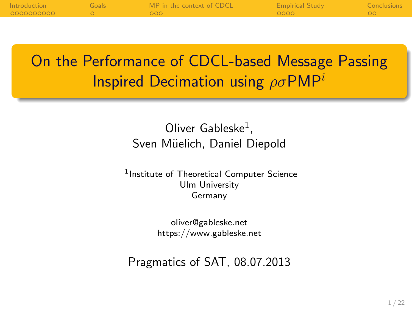| Introduction | Goals | MP in the context of CDCL | <b>Empirical Study</b> | <b>Conclusions</b> |
|--------------|-------|---------------------------|------------------------|--------------------|
| 0000000000   |       | - 000                     | 0000                   |                    |
|              |       |                           |                        |                    |

On the Performance of CDCL-based Message Passing **Inspired Decimation using**  $\rho \sigma P M P^i$ 

> Oliver Gableske $^1$ , Sven Müelich, Daniel Diepold

1 Institute of Theoretical Computer Science Ulm University Germany

> oliver@gableske.net https://www.gableske.net

Pragmatics of SAT, 08.07.2013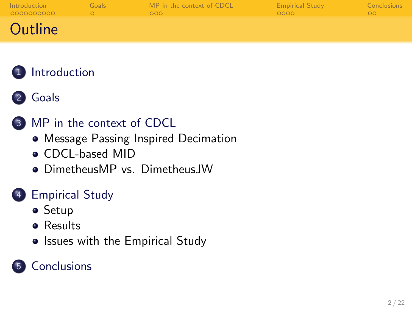| Introduction | Goals | MP in the context of CDCL | <b>Empirical Study</b> | <b>Conclusions</b> |
|--------------|-------|---------------------------|------------------------|--------------------|
| 0000000000   |       | 000                       | 0000                   | $\circ$            |
| Outline      |       |                           |                        |                    |





#### 3 [MP in the context of CDCL](#page-15-0)

- [Message Passing Inspired Decimation](#page-15-0)
- [CDCL-based MID](#page-16-0)
- **DimetheusMP vs. Dimetheus IW**

#### **[Empirical Study](#page-18-0)**

- **•** [Setup](#page-18-0)
- **e** [Results](#page-19-0)
- [Issues with the Empirical Study](#page-21-0)

### **[Conclusions](#page-22-0)**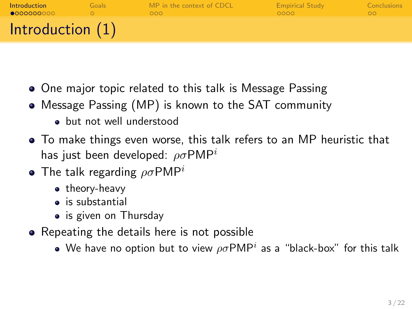| Introduction       | Goals | MP in the context of CDCL | <b>Empirical Study</b> | <b>Conclusions</b> |
|--------------------|-------|---------------------------|------------------------|--------------------|
| 0000000000         |       | റററ                       | looon.                 | ററ                 |
| Introduction $(1)$ |       |                           |                        |                    |

- One major topic related to this talk is Message Passing
- Message Passing (MP) is known to the SAT community
	- but not well understood
- To make things even worse, this talk refers to an MP heuristic that has just been developed:  $\rho \sigma P M P^{i}$
- The talk regarding  $\rho \sigma P M P^i$ 
	- theory-heavy
	- is substantial
	- is given on Thursday
- <span id="page-2-0"></span>• Repeating the details here is not possible
	- We have no option but to view  $\rho\sigma {\sf PMP}^i$  as a "black-box" for this talk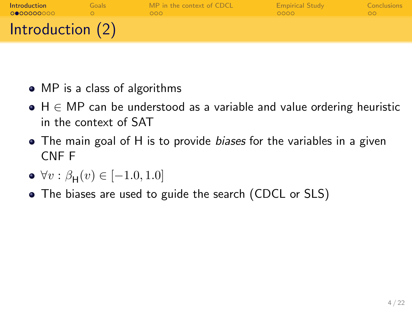| Introduction       | Goals | MP in the context of CDCL | <b>Empirical Study</b> | <b>Conclusions</b> |
|--------------------|-------|---------------------------|------------------------|--------------------|
| 0000000000         |       | റററ                       | 0000                   | ററ                 |
| Introduction $(2)$ |       |                           |                        |                    |

- MP is a class of algorithms
- $\bullet$  H  $\in$  MP can be understood as a variable and value ordering heuristic in the context of SAT
- The main goal of H is to provide biases for the variables in a given CNF F
- $\forall v : \beta_{\mathsf{H}}(v) \in [-1.0, 1.0]$
- The biases are used to guide the search (CDCL or SLS)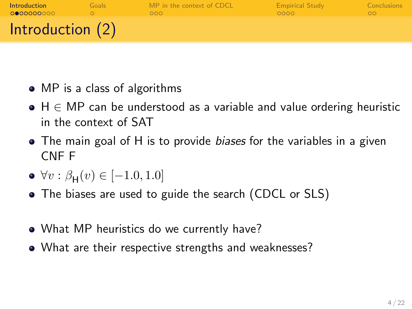| Introduction       | Goals | MP in the context of CDCL | <b>Empirical Study</b> | <b>Conclusions</b> |
|--------------------|-------|---------------------------|------------------------|--------------------|
| 0000000000         |       | റററ                       | 0000                   | ററ                 |
| Introduction $(2)$ |       |                           |                        |                    |

- MP is a class of algorithms
- $\bullet$  H  $\in$  MP can be understood as a variable and value ordering heuristic in the context of SAT
- The main goal of H is to provide *biases* for the variables in a given CNF F
- $\forall v : \beta_{\mathsf{H}}(v) \in [-1.0, 1.0]$
- The biases are used to guide the search (CDCL or SLS)
- What MP heuristics do we currently have?
- What are their respective strengths and weaknesses?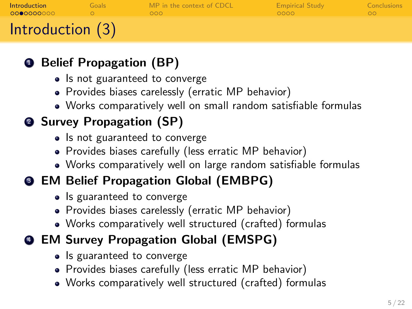| Introduction     | Goals | MP in the context of CDCL | <b>Empirical Study</b> | Conclusions |
|------------------|-------|---------------------------|------------------------|-------------|
| 0000000000       |       | റററ                       | ററററ                   | ററ          |
| Introduction (3) |       |                           |                        |             |

### **1 Belief Propagation (BP)**

- Is not guaranteed to converge
- Provides biases carelessly (erratic MP behavior)
- Works comparatively well on small random satisfiable formulas

# <sup>2</sup> Survey Propagation (SP)

- Is not guaranteed to converge
- Provides biases carefully (less erratic MP behavior)
- Works comparatively well on large random satisfiable formulas

### **3 EM Belief Propagation Global (EMBPG)**

- Is guaranteed to converge
- Provides biases carelessly (erratic MP behavior)
- Works comparatively well structured (crafted) formulas

# <sup>4</sup> EM Survey Propagation Global (EMSPG)

- Is guaranteed to converge
- Provides biases carefully (less erratic MP behavior)
- Works comparatively well structured (crafted) formulas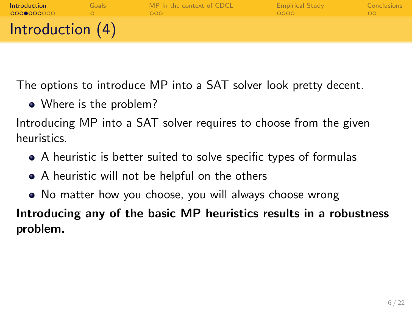| <b>Introduction</b> | Goals | MP in the context of CDCL | <b>Empirical Study</b> | <b>Conclusions</b> |
|---------------------|-------|---------------------------|------------------------|--------------------|
| 0000000000          |       | റററ                       | looon.                 | ററ                 |
| Introduction $(4)$  |       |                           |                        |                    |

The options to introduce MP into a SAT solver look pretty decent.

• Where is the problem?

Introducing MP into a SAT solver requires to choose from the given heuristics.

- A heuristic is better suited to solve specific types of formulas
- A heuristic will not be helpful on the others
- No matter how you choose, you will always choose wrong

Introducing any of the basic MP heuristics results in a robustness problem.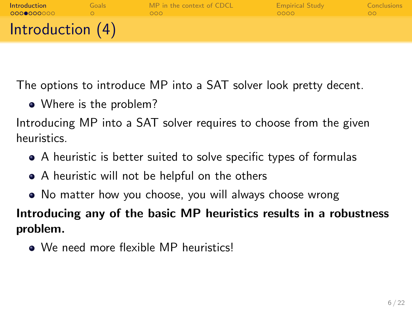| <b>Introduction</b> | Goals | MP in the context of CDCL | <b>Empirical Study</b> | <b>Conclusions</b> |
|---------------------|-------|---------------------------|------------------------|--------------------|
| 0000000000          |       | റററ                       | looon.                 | ററ                 |
| Introduction $(4)$  |       |                           |                        |                    |

The options to introduce MP into a SAT solver look pretty decent.

• Where is the problem?

Introducing MP into a SAT solver requires to choose from the given heuristics.

- A heuristic is better suited to solve specific types of formulas
- A heuristic will not be helpful on the others
- No matter how you choose, you will always choose wrong

Introducing any of the basic MP heuristics results in a robustness problem.

• We need more flexible MP heuristics!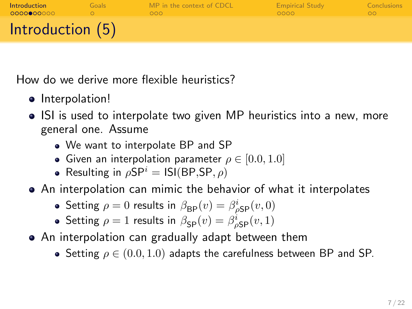| Introduction     | Goals | MP in the context of CDCL | <b>Empirical Study</b> | <b>Conclusions</b> |
|------------------|-------|---------------------------|------------------------|--------------------|
| 0000000000       |       | റററ                       | ററററ                   | ററ                 |
| Introduction (5) |       |                           |                        |                    |

How do we derive more flexible heuristics?

- $\bullet$  Interpolation!
- ISI is used to interpolate two given MP heuristics into a new, more general one. Assume
	- We want to interpolate BP and SP
	- Given an interpolation parameter  $\rho \in [0.0, 1.0]$
	- Resulting in  $\rho SP^i = ISI(BP, SP, \rho)$

An interpolation can mimic the behavior of what it interpolates

- Setting  $\rho = 0$  results in  $\beta_{\mathsf{BP}}(v) = \beta_{\rho \mathsf{SP}}^i(v, 0)$
- Setting  $\rho = 1$  results in  $\beta_{\text{SP}}(v) = \beta_{\rho \text{SP}}^i(v, 1)$
- An interpolation can gradually adapt between them
	- Setting  $\rho \in (0.0, 1.0)$  adapts the carefulness between BP and SP.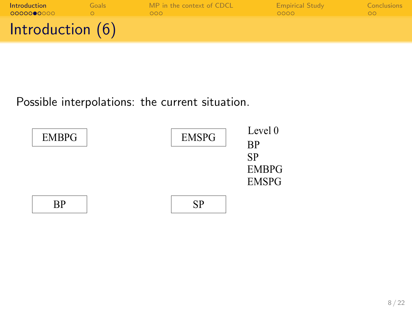| Introduction     | Goals | MP in the context of CDCL | <b>Empirical Study</b> | <b>Conclusions</b> |
|------------------|-------|---------------------------|------------------------|--------------------|
| 0000000000       |       | 000 <sub>o</sub>          | 0000                   | ററ                 |
| Introduction (6) |       |                           |                        |                    |

Possible interpolations: the current situation.

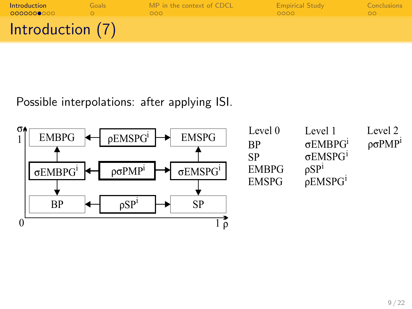| <b>Introduction</b> | Goals | MP in the context of CDCL | <b>Empirical Study</b> | <b>Conclusions</b> |
|---------------------|-------|---------------------------|------------------------|--------------------|
| 0000000000          |       | റററ                       | 0000                   | ററ                 |
| Introduction (7)    |       |                           |                        |                    |

Possible interpolations: after applying ISI.



| <b>EMSPG</b>    | Level 0      | Level 1            | Level 2                          |
|-----------------|--------------|--------------------|----------------------------------|
|                 | RР           | $\sigma$ EMBP $G1$ | $\rho \sigma P M P$ <sup>1</sup> |
|                 | SP           | $\sigma$ EMSP $G1$ |                                  |
| $\sigma EMSPG1$ | <b>EMBPG</b> | $\rho SP1$         |                                  |
|                 | <b>EMSPG</b> | $\rho$ EMSP $G1$   |                                  |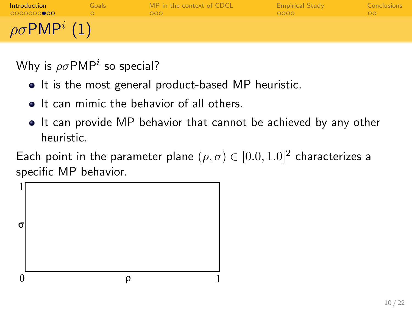| Introduction<br>0000000000         | Goals: | MP in the context of CDCL<br>000 <sub>o</sub> | <b>Empirical Study</b><br>0000 | <b>Conclusions</b> |
|------------------------------------|--------|-----------------------------------------------|--------------------------------|--------------------|
| $\rho \sigma$ PMP <sup>i</sup> (1) |        |                                               |                                |                    |

Why is  $\rho\sigma$ PMP $^i$  so special?

- It is the most general product-based MP heuristic.
- **It can mimic the behavior of all others.**
- It can provide MP behavior that cannot be achieved by any other heuristic.

Each point in the parameter plane  $(\rho, \sigma) \in [0.0, 1.0]^2$  characterizes a specific MP behavior.

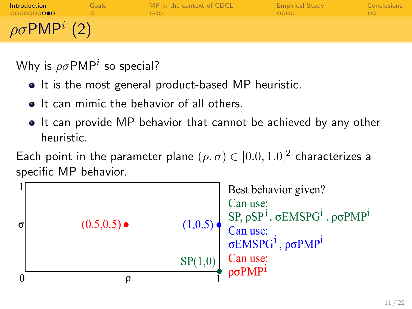| Introduction<br>0000000000        | Goals: | MP in the context of CDCL<br>000 <sub>o</sub> | <b>Empirical Study</b><br>0000 | <b>Conclusions</b> |
|-----------------------------------|--------|-----------------------------------------------|--------------------------------|--------------------|
| $\rho\sigma$ PMP <sup>i</sup> (2) |        |                                               |                                |                    |

Why is  $\rho\sigma$ PMP $^i$  so special?

- It is the most general product-based MP heuristic.
- **It can mimic the behavior of all others.**
- It can provide MP behavior that cannot be achieved by any other heuristic.

Each point in the parameter plane  $(\rho, \sigma) \in [0.0, 1.0]^2$  characterizes a specific MP behavior.

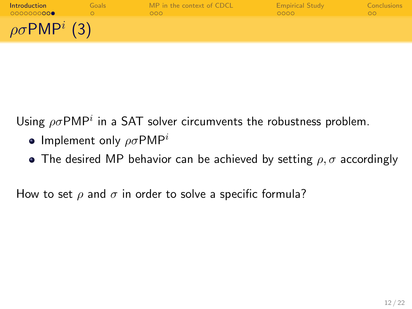| Introduction<br>0000000000         | Goals | MP in the context of CDCL<br>000 | <b>Empirical Study</b><br>0000 | Conclusions |
|------------------------------------|-------|----------------------------------|--------------------------------|-------------|
| $\rho \sigma$ PMP <sup>i</sup> (3) |       |                                  |                                |             |

Using  $\rho \sigma$ PMP<sup>i</sup> in a SAT solver circumvents the robustness problem.

- Implement only  $\rho \sigma P M P^i$
- The desired MP behavior can be achieved by setting  $\rho, \sigma$  accordingly

How to set  $\rho$  and  $\sigma$  in order to solve a specific formula?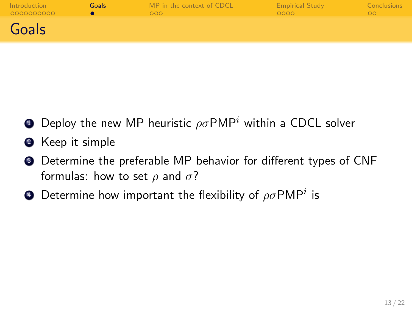| Introduction | Goals | MP in the context of CDCL | <b>Empirical Study</b> | <b>Conclusions</b> |
|--------------|-------|---------------------------|------------------------|--------------------|
| 0000000000   |       | 000                       | 0000                   | OΟ                 |
| Goals        |       |                           |                        |                    |

- **•** Deploy the new MP heuristic  $\rho \sigma P M P^i$  within a CDCL solver
- **2** Keep it simple
- <sup>3</sup> Determine the preferable MP behavior for different types of CNF formulas: how to set  $\rho$  and  $\sigma$ ?
- <span id="page-14-0"></span> $\bullet$  Determine how important the flexibility of  $\rho\sigma$ PMP $^i$  is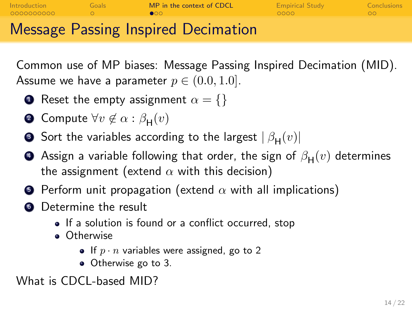| Introduction<br>- 0000000000 | Goals | MP in the context of CDCL            | <b>Empirical Study</b><br>- ററററ | Conclusions |
|------------------------------|-------|--------------------------------------|----------------------------------|-------------|
|                              |       | Messeus Dessing Insuring Desimetical |                                  |             |

Message Passing Inspired Decimation

Common use of MP biases: Message Passing Inspired Decimation (MID). Assume we have a parameter  $p \in (0.0, 1.0]$ .

- **1** Reset the empty assignment  $\alpha = \{\}$
- **2** Compute  $\forall v \notin \alpha : \beta_{\mathsf{H}}(v)$
- $\bullet$  Sort the variables according to the largest  $|\,\beta_{\mathsf{H}}(v)|$
- $\bullet\,$  Assign a variable following that order, the sign of  $\beta_{\mathsf{H}}(v)$  determines the assignment (extend  $\alpha$  with this decision)
- **•** Perform unit propagation (extend  $\alpha$  with all implications)
- **6** Determine the result
	- If a solution is found or a conflict occurred, stop
	- **o** Otherwise
		- If  $p \cdot n$  variables were assigned, go to 2
		- Otherwise go to 3.

<span id="page-15-0"></span>What is CDCL-based MID?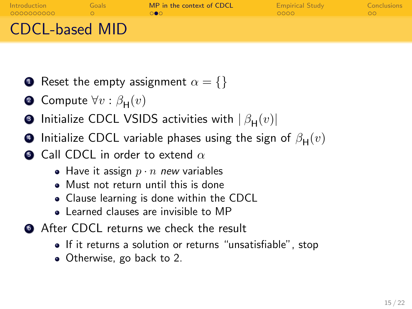| Introduction<br>0000000000 | Goals | MP in the context of CDCL | <b>Empirical Study</b><br>looon. | Conclusions<br>ററ |
|----------------------------|-------|---------------------------|----------------------------------|-------------------|
| <b>CDCL-based MID</b>      |       |                           |                                  |                   |

- **1** Reset the empty assignment  $\alpha = \{\}$
- $\bullet$  Compute  $\forall v : \beta_{\mathsf{H}}(v)$
- $\bullet$  Initialize CDCL VSIDS activities with  $|\,\beta_{\mathsf{H}}(v)|$
- $\bullet$  Initialize CDCL variable phases using the sign of  $\beta_{\mathsf{H}}(v)$
- Call CDCL in order to extend  $\alpha$ 
	- Have it assign  $p \cdot n$  new variables
	- Must not return until this is done
	- Clause learning is done within the CDCL
	- **.** Learned clauses are invisible to MP
- <span id="page-16-0"></span>**6** After CDCL returns we check the result
	- If it returns a solution or returns "unsatisfiable", stop
	- Otherwise, go back to 2.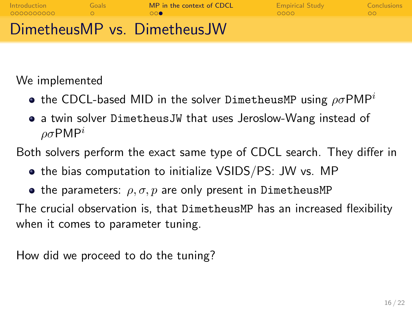| Introduction | Goals | MP in the context of CDCL   | <b>Empirical Study</b> | Conclusions |
|--------------|-------|-----------------------------|------------------------|-------------|
| 0000000000   |       | $\circ\circ\bullet$         | ററററ                   | $\circ$     |
|              |       | DimetheusMP vs. DimetheusJW |                        |             |

We implemented

- **•** the CDCL-based MID in the solver DimetheusMP using  $\rho \sigma P M P^i$
- a twin solver DimetheusJW that uses Jeroslow-Wang instead of  $ρσ$ PMP<sup>i</sup>

Both solvers perform the exact same type of CDCL search. They differ in

- the bias computation to initialize VSIDS/PS: JW vs. MP
- **•** the parameters:  $\rho, \sigma, p$  are only present in DimetheusMP

The crucial observation is, that DimetheusMP has an increased flexibility when it comes to parameter tuning.

<span id="page-17-0"></span>How did we proceed to do the tuning?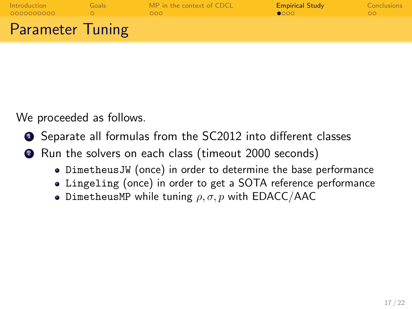| Introduction            | Goals | MP in the context of CDCL | <b>Empirical Study</b> | <b>Conclusions</b> |
|-------------------------|-------|---------------------------|------------------------|--------------------|
| 0000000000              |       | <b>OOO</b>                | $\bullet$              | ററ                 |
| <b>Parameter Tuning</b> |       |                           |                        |                    |

We proceeded as follows.

- Separate all formulas from the SC2012 into different classes
- <span id="page-18-0"></span><sup>2</sup> Run the solvers on each class (timeout 2000 seconds)
	- DimetheusJW (once) in order to determine the base performance
	- Lingeling (once) in order to get a SOTA reference performance
	- DimetheusMP while tuning  $\rho, \sigma, p$  with EDACC/AAC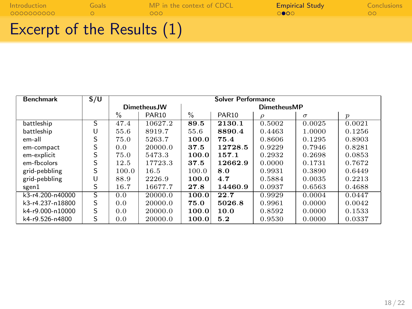| 0000000000          |       | റററ                       | ാരവ                    | ററ          |
|---------------------|-------|---------------------------|------------------------|-------------|
| <b>Introduction</b> | Goals | MP in the context of CDCL | <b>Empirical Study</b> | Conclusions |

| Excerpt of the Results $(1)$ |  |  |
|------------------------------|--|--|
|------------------------------|--|--|

<span id="page-19-0"></span>

| <b>Benchmark</b>   | S/U                     | <b>Solver Performance</b> |              |                    |         |        |          |                  |
|--------------------|-------------------------|---------------------------|--------------|--------------------|---------|--------|----------|------------------|
|                    |                         |                           | Dimetheus.JW | <b>DimetheusMP</b> |         |        |          |                  |
|                    |                         | $\%$                      | <b>PAR10</b> | $\frac{0}{0}$      | PAR10   | ρ      | $\sigma$ | $\boldsymbol{p}$ |
| battleship         | $\overline{\mathsf{s}}$ | 47.4                      | 10627.2      | 89.5               | 2130.1  | 0.5002 | 0.0025   | 0.0021           |
| battleship         | U                       | 55.6                      | 8919.7       | 55.6               | 8890.4  | 0.4463 | 1.0000   | 0.1256           |
| em-all             | S                       | 75.0                      | 5263.7       | 100.0              | 75.4    | 0.8606 | 0.1295   | 0.8903           |
| em-compact         | S                       | 0.0                       | 20000.0      | 37.5               | 12728.5 | 0.9229 | 0.7946   | 0.8281           |
| em-explicit        | S                       | 75.0                      | 5473.3       | 100.0              | 157.1   | 0.2932 | 0.2698   | 0.0853           |
| em-fbcolors        | S                       | 12.5                      | 17723.3      | 37.5               | 12662.9 | 0.0000 | 0.1731   | 0.7672           |
| grid-pebbling      | S                       | 100.0                     | 16.5         | 100.0              | 8.0     | 0.9931 | 0.3890   | 0.6449           |
| grid-pebbling      | U                       | 88.9                      | 2226.9       | 100.0              | 4.7     | 0.5884 | 0.0035   | 0.2213           |
| sgen1              | S                       | 16.7                      | 16677.7      | 27.8               | 14460.9 | 0.0937 | 0.6563   | 0.4688           |
| $k3-r4.200-n40000$ | S                       | 0.0                       | 20000.0      | 100.0              | 22.7    | 0.9929 | 0.0004   | 0.0447           |
| k3-r4.237-n18800   | S                       | 0.0                       | 20000.0      | 75.0               | 5026.8  | 0.9961 | 0.0000   | 0.0042           |
| k4-r9.000-n10000   | S                       | 0.0                       | 20000.0      | 100.0              | 10.0    | 0.8592 | 0.0000   | 0.1533           |
| k4-r9.526-n4800    | S                       | 0.0                       | 20000.0      | 100.0              | 5.2     | 0.9530 | 0.0000   | 0.0337           |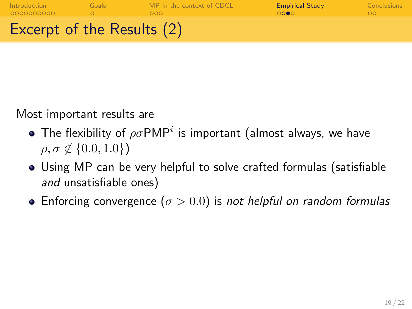| Introduction<br>0000000000        | Goals | MP in the context of CDCL<br>റററ | <b>Empirical Study</b> | Conclusions |
|-----------------------------------|-------|----------------------------------|------------------------|-------------|
| <b>Excerpt of the Results (2)</b> |       |                                  |                        |             |

Most important results are

- The flexibility of  $\rho\sigma$ PMP<sup>i</sup> is important (almost always, we have  $\rho, \sigma \notin \{0.0, 1.0\}$
- Using MP can be very helpful to solve crafted formulas (satisfiable and unsatisfiable ones)
- **•** Enforcing convergence ( $\sigma > 0.0$ ) is not helpful on random formulas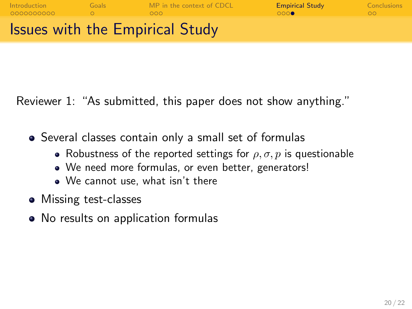

Reviewer 1: "As submitted, this paper does not show anything."

- Several classes contain only a small set of formulas
	- Robustness of the reported settings for  $\rho$ ,  $\sigma$ ,  $p$  is questionable
	- We need more formulas, or even better, generators!
	- We cannot use, what isn't there
- Missing test-classes
- <span id="page-21-0"></span>• No results on application formulas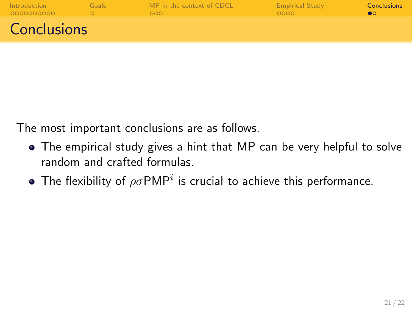| Introduction<br>0000000000 | Goals | MP in the context of CDCL<br>000 <sub>1</sub> | <b>Empirical Study</b><br>0000 | <b>Conclusions</b> |
|----------------------------|-------|-----------------------------------------------|--------------------------------|--------------------|
| <b>Conclusions</b>         |       |                                               |                                |                    |

The most important conclusions are as follows.

- The empirical study gives a hint that MP can be very helpful to solve random and crafted formulas.
- <span id="page-22-0"></span>The flexibility of  $\rho \sigma P M P^i$  is crucial to achieve this performance.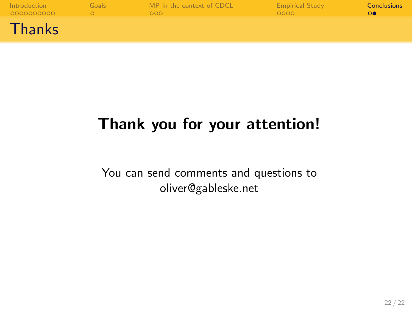| Introduction<br>0000000000 | Goals | MP in the context of CDCL<br>000 | <b>Empirical Study</b><br>0000 | <b>Conclusions</b> |
|----------------------------|-------|----------------------------------|--------------------------------|--------------------|
| Thanks                     |       |                                  |                                |                    |

# Thank you for your attention!

You can send comments and questions to oliver@gableske.net